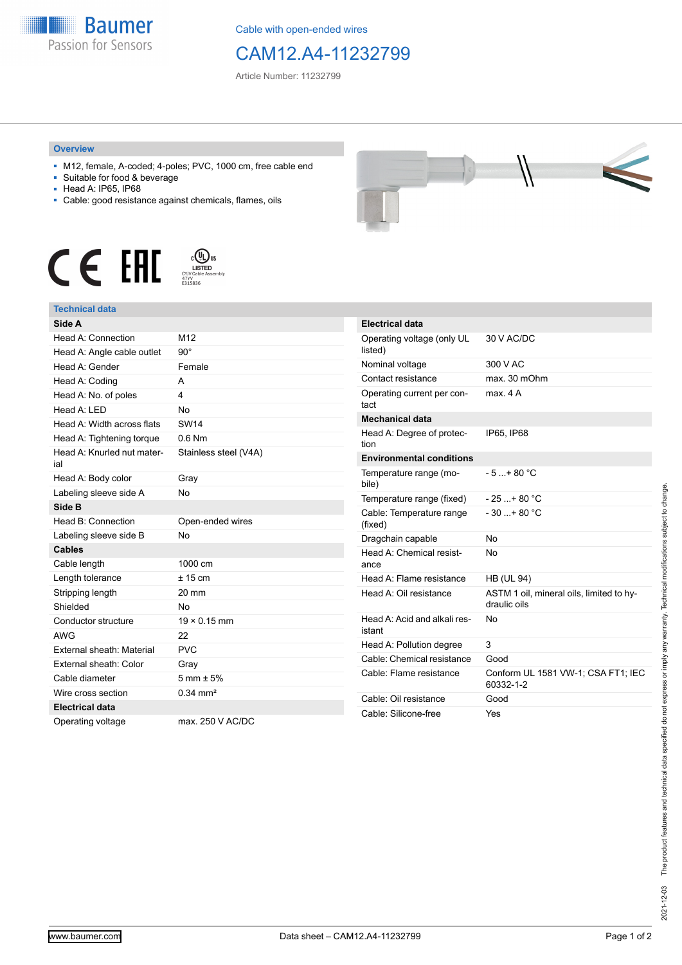

Cable with open-ended wires

## CAM12.A4-11232799

Article Number: 11232799

## **Overview**

- M12, female, A-coded; 4-poles; PVC, 1000 cm, free cable end
- Suitable for food & beverage
- Head A: IP65, IP68
- Cable: good resistance against chemicals, flames, oils







| Side A                            |                        |
|-----------------------------------|------------------------|
| Head A: Connection                | M <sub>12</sub>        |
| Head A: Angle cable outlet        | $90^\circ$             |
| Head A: Gender                    | Female                 |
| Head A: Coding                    | А                      |
| Head A: No. of poles              | 4                      |
| Head A: LED                       | <b>No</b>              |
| Head A: Width across flats        | <b>SW14</b>            |
| Head A: Tightening torque         | $0.6$ Nm               |
| Head A: Knurled nut mater-<br>ial | Stainless steel (V4A)  |
| Head A: Body color                | Gray                   |
| Labeling sleeve side A            | <b>No</b>              |
| Side B                            |                        |
| Head B: Connection                | Open-ended wires       |
| Labeling sleeve side B            | N <sub>0</sub>         |
| <b>Cables</b>                     |                        |
| Cable length                      | 1000 cm                |
| Length tolerance                  | $± 15$ cm              |
| Stripping length                  | 20 mm                  |
| Shielded                          | <b>No</b>              |
| Conductor structure               | $19 \times 0.15$ mm    |
| <b>AWG</b>                        | 22                     |
| External sheath: Material         | <b>PVC</b>             |
| External sheath: Color            | Gray                   |
| Cable diameter                    | $5 \text{ mm} \pm 5\%$ |
| Wire cross section                | $0.34 \, \text{mm}^2$  |
| <b>Electrical data</b>            |                        |
| Operating voltage                 | max. 250 V AC/DC       |



| <b>Electrical data</b>                 |                                                          |
|----------------------------------------|----------------------------------------------------------|
| Operating voltage (only UL<br>listed)  | 30 V AC/DC                                               |
| Nominal voltage                        | 300 V AC                                                 |
| Contact resistance                     | max. 30 mOhm                                             |
| Operating current per con-<br>tact     | max 4 A                                                  |
| <b>Mechanical data</b>                 |                                                          |
| Head A: Degree of protec-<br>tion      | IP65, IP68                                               |
| <b>Environmental conditions</b>        |                                                          |
| Temperature range (mo-<br>bile)        | $-5 + 80 °C$                                             |
| Temperature range (fixed)              | $-25$ + 80 °C                                            |
| Cable: Temperature range<br>(fixed)    | $-30$ + 80 °C                                            |
| Dragchain capable                      | N٥                                                       |
| Head A: Chemical resist-<br>ance       | No                                                       |
| Head A: Flame resistance               | <b>HB (UL 94)</b>                                        |
| Head A: Oil resistance                 | ASTM 1 oil, mineral oils, limited to hy-<br>draulic oils |
| Head A: Acid and alkali res-<br>istant | No                                                       |
| Head A: Pollution degree               | 3                                                        |
| Cable: Chemical resistance             | Good                                                     |
| Cable: Flame resistance                | Conform UL 1581 VW-1; CSA FT1; IEC<br>60332-1-2          |
| Cable: Oil resistance                  | Good                                                     |
| Cable: Silicone-free                   | Yes                                                      |